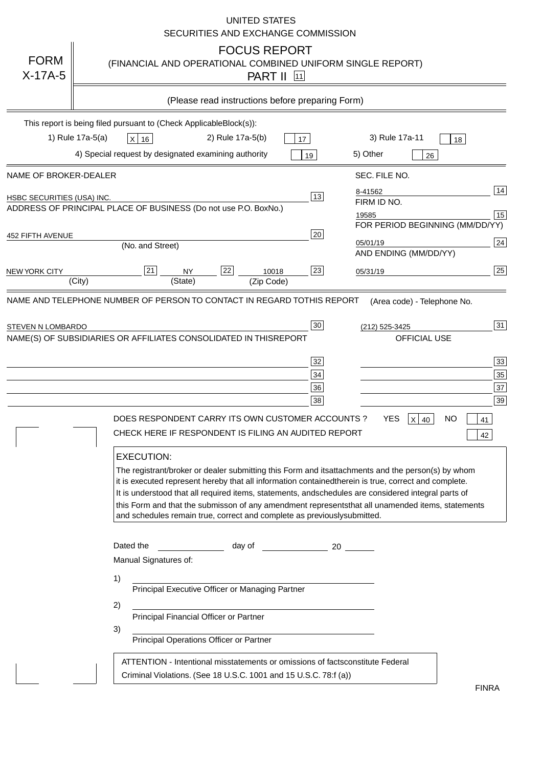|                            | <b>UNITED STATES</b><br>SECURITIES AND EXCHANGE COMMISSION                                                                                                                                                                                                                                                                                                                                                                                                                                                                                                            |
|----------------------------|-----------------------------------------------------------------------------------------------------------------------------------------------------------------------------------------------------------------------------------------------------------------------------------------------------------------------------------------------------------------------------------------------------------------------------------------------------------------------------------------------------------------------------------------------------------------------|
| <b>FORM</b><br>$X-17A-5$   | <b>FOCUS REPORT</b><br>(FINANCIAL AND OPERATIONAL COMBINED UNIFORM SINGLE REPORT)<br><b>PART II</b> [11]                                                                                                                                                                                                                                                                                                                                                                                                                                                              |
|                            | (Please read instructions before preparing Form)                                                                                                                                                                                                                                                                                                                                                                                                                                                                                                                      |
|                            | This report is being filed pursuant to (Check Applicable<br>$Block(s)$ :<br>1) Rule 17a-5(a)<br>3) Rule 17a-11<br>2) Rule 17a-5(b)<br>$X$ 16<br>17<br>18<br>4) Special request by designated examining authority<br>5) Other<br>19<br>26                                                                                                                                                                                                                                                                                                                              |
| NAME OF BROKER-DEALER      | SEC. FILE NO.                                                                                                                                                                                                                                                                                                                                                                                                                                                                                                                                                         |
| HSBC SECURITIES (USA) INC. | 14<br>8-41562<br>13<br>FIRM ID NO.<br>ADDRESS OF PRINCIPAL PLACE OF BUSINESS (Do not use P.O. Box<br>No.)<br>15<br>19585<br>FOR PERIOD BEGINNING (MM/DD/YY)                                                                                                                                                                                                                                                                                                                                                                                                           |
| <b>452 FIFTH AVENUE</b>    | 20<br> 24 <br>05/01/19<br>(No. and Street)<br>AND ENDING (MM/DD/YY)                                                                                                                                                                                                                                                                                                                                                                                                                                                                                                   |
| <b>NEW YORK CITY</b>       | 25<br>22<br>21<br>23<br><b>NY</b><br>10018<br>05/31/19<br>(City)<br>(State)<br>(Zip Code)                                                                                                                                                                                                                                                                                                                                                                                                                                                                             |
| STEVEN N LOMBARDO          | 31<br>30<br>(212) 525-3425<br>NAME(S) OF SUBSIDIARIES OR AFFILIATES CONSOLIDATED IN THIS<br><b>REPORT</b><br><b>OFFICIAL USE</b><br>$\overline{33}$<br>32<br>35<br>$34$<br>37<br>36<br>39<br>38<br>$X$ 40<br>DOES RESPONDENT CARRY ITS OWN CUSTOMER ACCOUNTS?<br>YES<br>NO<br>41<br>CHECK HERE IF RESPONDENT IS FILING AN AUDITED REPORT<br>42                                                                                                                                                                                                                        |
|                            | <b>EXECUTION:</b><br>The registrant/broker or dealer submitting this Form and its<br>attachments and the person(s) by whom<br>it is executed represent hereby that all information contained<br>therein is true, correct and complete.<br>It is understood that all required items, statements, and<br>schedules are considered integral parts of<br>this Form and that the submisson of any amendment represents<br>that all unamended items, statements<br>and schedules remain true, correct and complete as previously<br>submitted.<br>Dated the<br>day of<br>20 |
|                            | Manual Signatures of:<br>1)                                                                                                                                                                                                                                                                                                                                                                                                                                                                                                                                           |
|                            | Principal Executive Officer or Managing Partner<br>2)<br>Principal Financial Officer or Partner                                                                                                                                                                                                                                                                                                                                                                                                                                                                       |
|                            | 3)<br>Principal Operations Officer or Partner                                                                                                                                                                                                                                                                                                                                                                                                                                                                                                                         |
|                            | constitute Federal<br>ATTENTION - Intentional misstatements or omissions of facts<br>Criminal Violations. (See 18 U.S.C. 1001 and 15 U.S.C. 78:f (a)<br>$\lambda$<br><b>FINRA</b>                                                                                                                                                                                                                                                                                                                                                                                     |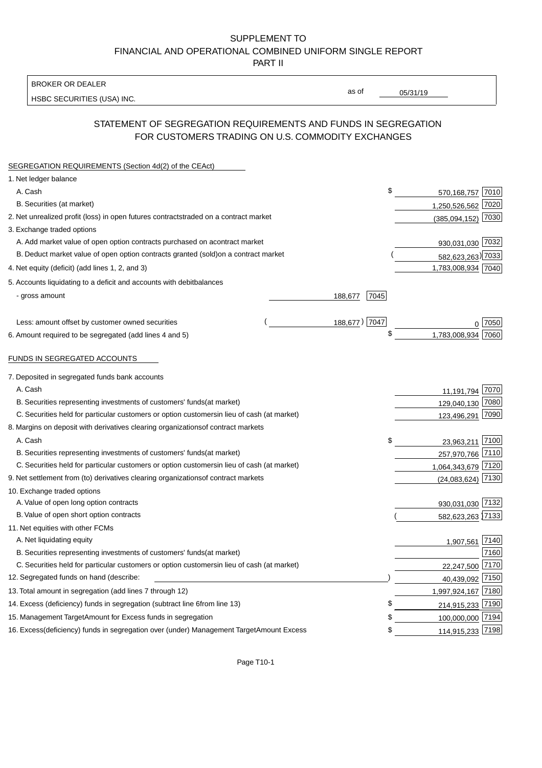BROKER OR DEALER

HSBC SECURITIES (USA) INC.

05/31/19

as of

## STATEMENT OF SEGREGATION REQUIREMENTS AND FUNDS IN SEGREGATION FOR CUSTOMERS TRADING ON U.S. COMMODITY EXCHANGES

| SEGREGATION REQUIREMENTS (Section 4d(2) of the CEAct)                                          |                 |                    |      |
|------------------------------------------------------------------------------------------------|-----------------|--------------------|------|
| 1. Net ledger balance                                                                          |                 |                    |      |
| A. Cash                                                                                        | \$              | 570,168,757 7010   |      |
| B. Securities (at market)                                                                      |                 | 1,250,526,562 7020 |      |
| 2. Net unrealized profit (loss) in open futures contracts traded on a contract market          |                 | (385,094,152)      | 7030 |
| 3. Exchange traded options                                                                     |                 |                    |      |
| A. Add market value of open option contracts purchased on a<br>contract market                 |                 | 930,031,030 7032   |      |
| B. Deduct market value of open option contracts granted (sold)<br>on a contract market         |                 | 582,623,263) 7033  |      |
| 4. Net equity (deficit) (add lines 1, 2, and 3)                                                |                 | 1,783,008,934 7040 |      |
| 5. Accounts liquidating to a deficit and accounts with debit<br>balances                       |                 |                    |      |
| - gross amount                                                                                 | 188,677<br>7045 |                    |      |
|                                                                                                |                 |                    |      |
| Less: amount offset by customer owned securities                                               | 188,677) 7047   |                    | 7050 |
| 6. Amount required to be segregated (add lines 4 and 5)                                        | \$              | 1,783,008,934      | 7060 |
|                                                                                                |                 |                    |      |
| FUNDS IN SEGREGATED ACCOUNTS                                                                   |                 |                    |      |
| 7. Deposited in segregated funds bank accounts                                                 |                 |                    |      |
| A. Cash                                                                                        |                 | 11,191,794         | 7070 |
| B. Securities representing investments of customers' funds<br>(at market)                      |                 | 129,040,130        | 7080 |
| C. Securities held for particular customers or option customers<br>in lieu of cash (at market) |                 | 123,496,291        | 7090 |
| 8. Margins on deposit with derivatives clearing organizations<br>of contract markets           |                 |                    |      |
| A. Cash                                                                                        | \$              | 23,963,211         | 7100 |
| B. Securities representing investments of customers' funds<br>(at market)                      |                 | 257,970,766 7110   |      |
| C. Securities held for particular customers or option customers<br>in lieu of cash (at market) |                 | 1,064,343,679 7120 |      |
| 9. Net settlement from (to) derivatives clearing organizations<br>of contract markets          |                 | (24,083,624)       | 7130 |
| 10. Exchange traded options                                                                    |                 |                    |      |
| A. Value of open long option contracts                                                         |                 | 930,031,030        | 7132 |
| B. Value of open short option contracts                                                        |                 | 582,623,263 7133   |      |
| 11. Net equities with other FCMs                                                               |                 |                    |      |
| A. Net liquidating equity                                                                      |                 | 1,907,561          | 7140 |
| B. Securities representing investments of customers' funds<br>(at market)                      |                 |                    | 7160 |
| C. Securities held for particular customers or option customers<br>in lieu of cash (at market) |                 | 22,247,500         | 7170 |
| 12. Segregated funds on hand (describe:                                                        |                 | 40,439,092 7150    |      |
| 13. Total amount in segregation (add lines 7 through 12)                                       |                 | 1,997,924,167 7180 |      |
| 14. Excess (deficiency) funds in segregation (subtract line 6<br>from line 13)                 |                 | 214,915,233 7190   |      |
| 15. Management Target Amount for Excess funds in segregation                                   | \$              | 100,000,000 7194   |      |
| 16. Excess (deficiency) funds in segregation over (under) Management Target Amount Excess      | \$              | 114,915,233 7198   |      |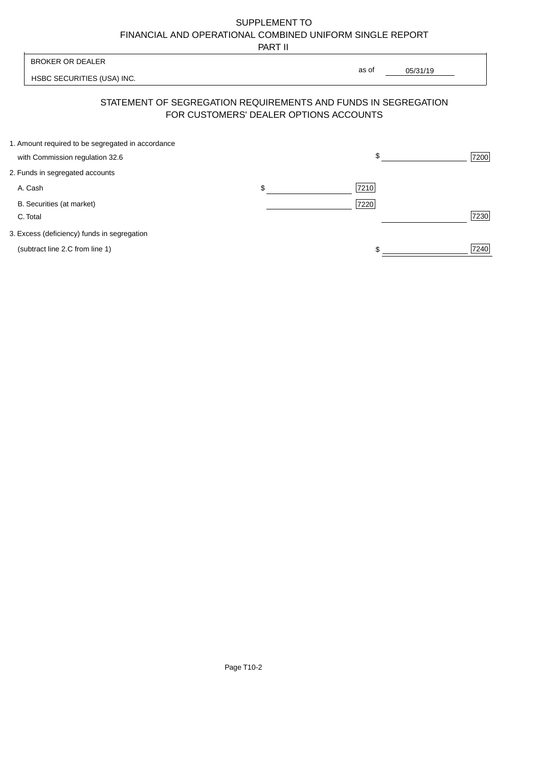PART II

 $\frac{1}{1}$ 

| <b>BROKER OR DEALER</b>                           |                                        | as of                                                          |      |
|---------------------------------------------------|----------------------------------------|----------------------------------------------------------------|------|
| HSBC SECURITIES (USA) INC.                        |                                        | 05/31/19                                                       |      |
|                                                   | FOR CUSTOMERS' DEALER OPTIONS ACCOUNTS | STATEMENT OF SEGREGATION REQUIREMENTS AND FUNDS IN SEGREGATION |      |
| 1. Amount required to be segregated in accordance |                                        |                                                                |      |
| with Commission regulation 32.6                   |                                        | \$.                                                            | 7200 |
| 2. Funds in segregated accounts                   |                                        |                                                                |      |
| A. Cash                                           | \$                                     | 7210                                                           |      |
| B. Securities (at market)<br>C. Total             |                                        | 7220                                                           | 7230 |
| 3. Excess (deficiency) funds in segregation       |                                        |                                                                |      |
| (subtract line 2.C from line 1)                   |                                        | \$                                                             | 7240 |

Page T10-2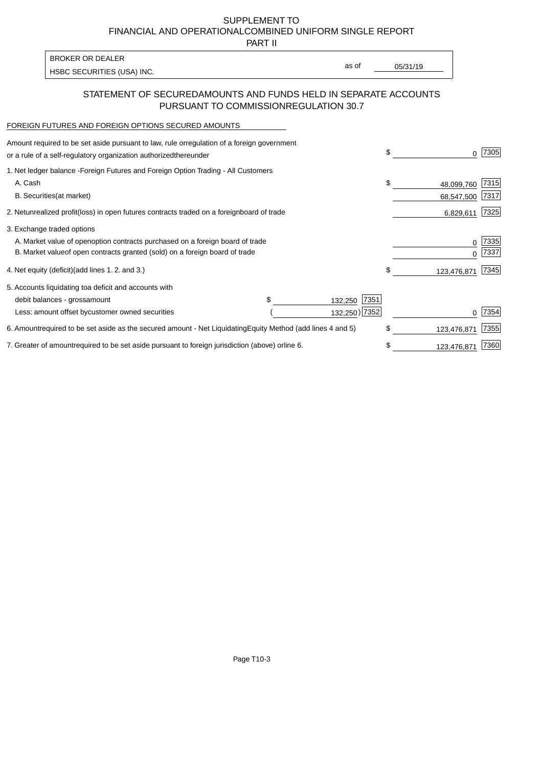PART II

as of

HSBC SECURITIES (USA) INC. The state of the second second in the second second second second second second second second second second second second second second second second second second second second second second sec

#### STATEMENT OF SECURED AMOUNTS AND FUNDS HELD IN SEPARATE ACCOUNTS PURSUANT TO COMMISSION REGULATION 30.7

#### FOREIGN FUTURES AND FOREIGN OPTIONS SECURED AMOUNTS

BROKER OR DEALER

| Amount required to be set aside pursuant to law, rule or<br>regulation of a foreign government<br>or a rule of a self-regulatory organization authorized<br>thereunder                       |                                   |                 | \$<br>O.                       | 7305          |
|----------------------------------------------------------------------------------------------------------------------------------------------------------------------------------------------|-----------------------------------|-----------------|--------------------------------|---------------|
| 1. Net ledger balance - Foreign Futures and Foreign Option Trading - All Customers<br>A. Cash<br><b>B.</b> Securities<br>(at market)                                                         |                                   |                 | \$<br>48,099,760<br>68,547,500 | 7315<br> 7317 |
| 2. Net unrealized profit (loss) in open futures contracts traded on a foreign                                                                                                                | board of trade                    |                 | 6,829,611                      | 7325          |
| 3. Exchange traded options<br>A. Market value of open option contracts purchased on a foreign board of trade<br>B. Market value of open contracts granted (sold) on a foreign board of trade |                                   |                 | 0<br><sup>0</sup>              | 7335<br>7337  |
| 4. Net equity (deficit) (add lines 1.2. and 3.)                                                                                                                                              |                                   |                 | \$<br>123,476,871              | 7345          |
| 5. Accounts liquidating to a deficit and accounts with<br>debit balances - gross<br>amount                                                                                                   |                                   | 7351<br>132,250 |                                |               |
| Less: amount offset by customer owned securities                                                                                                                                             |                                   | 132,250) 7352   |                                | 7354          |
| 6. Amount required to be set aside as the secured amount - Net Liquidating                                                                                                                   | Equity Method (add lines 4 and 5) |                 | \$<br>123,476,871              | 7355          |
| 7. Greater of amount required to be set aside pursuant to foreign jurisdiction (above) or                                                                                                    | line 6.                           |                 | \$<br>123,476,871              | 7360          |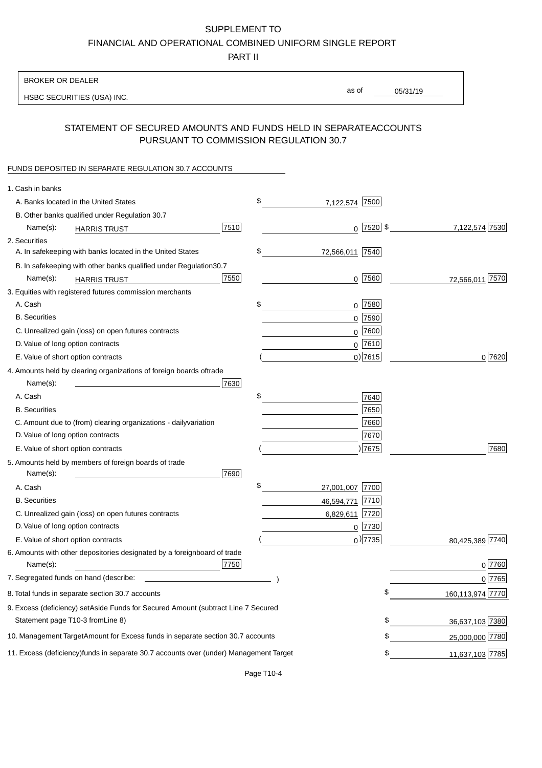PART II

| as of<br>05/31/19<br>HSBC SECURITIES (USA) INC.<br>STATEMENT OF SECURED AMOUNTS AND FUNDS HELD IN SEPARATE<br><b>ACCOUNTS</b><br>PURSUANT TO COMMISSION REGULATION 30.7<br>FUNDS DEPOSITED IN SEPARATE REGULATION 30.7 ACCOUNTS<br>1. Cash in banks<br>\$<br>A. Banks located in the United States<br>7,122,574 7500<br>B. Other banks qualified under Regulation 30.7<br>7510<br>$0$   7520   \$<br>7,122,574 7530<br>Name(s):<br><b>HARRIS TRUST</b><br>2. Securities<br>\$<br>A. In safekeeping with banks located in the United States<br>72,566,011   7540 <br>30.7<br>B. In safekeeping with other banks qualified under Regulation<br>7550<br>$0$  7560 <br>72,566,011 7570<br>Name(s):<br><b>HARRIS TRUST</b><br>3. Equities with registered futures commission merchants<br>A. Cash<br>\$<br>$0$ 7580<br><b>B.</b> Securities<br>$0$ 7590<br>$0$ 7600<br>C. Unrealized gain (loss) on open futures contracts<br>$0$ 7610<br>D. Value of long option contracts<br>$0$ ) 7615<br>0 7620<br>E. Value of short option contracts<br>4. Amounts held by clearing organizations of foreign boards of<br>trade<br>Name(s):<br>7630<br>\$<br>A. Cash<br>7640<br>7650<br><b>B.</b> Securities<br>7660<br>C. Amount due to (from) clearing organizations - daily<br>variation<br>D. Value of long option contracts<br>7670<br>17675<br>7680<br>E. Value of short option contracts<br>5. Amounts held by members of foreign boards of trade<br>Name(s):<br>7690<br>\$<br>A. Cash<br>27,001,007 7700<br><b>B.</b> Securities<br>46,594,771<br> 7710<br>C. Unrealized gain (loss) on open futures contracts<br>6,829,611 7720<br>D. Value of long option contracts<br>$0$ 7730<br>$_0$ ) 7735<br>80,425,389 7740<br>E. Value of short option contracts<br>6. Amounts with other depositories designated by a foreign<br>board of trade<br>7750<br>0 7760 <br>Name(s):<br>7. Segregated funds on hand (describe:<br>0 7765<br>\$<br>160,113,974 7770<br>8. Total funds in separate section 30.7 accounts<br>9. Excess (deficiency) set Aside Funds for Secured Amount (subtract Line 7 Secured<br>Statement page T10-3 from Line 8)<br>\$<br>36,637,103 7380<br>\$<br>10. Management Target Amount for Excess funds in separate section 30.7 accounts<br>25,000,000 7780<br>11,637,103 7785<br>11. Excess (deficiency) funds in separate 30.7 accounts over (under) Management Target<br>\$ | <b>BROKER OR DEALER</b> |  |  |  |
|---------------------------------------------------------------------------------------------------------------------------------------------------------------------------------------------------------------------------------------------------------------------------------------------------------------------------------------------------------------------------------------------------------------------------------------------------------------------------------------------------------------------------------------------------------------------------------------------------------------------------------------------------------------------------------------------------------------------------------------------------------------------------------------------------------------------------------------------------------------------------------------------------------------------------------------------------------------------------------------------------------------------------------------------------------------------------------------------------------------------------------------------------------------------------------------------------------------------------------------------------------------------------------------------------------------------------------------------------------------------------------------------------------------------------------------------------------------------------------------------------------------------------------------------------------------------------------------------------------------------------------------------------------------------------------------------------------------------------------------------------------------------------------------------------------------------------------------------------------------------------------------------------------------------------------------------------------------------------------------------------------------------------------------------------------------------------------------------------------------------------------------------------------------------------------------------------------------------------------------------------------------------------------------------------------------------------------------------------------------------------------------|-------------------------|--|--|--|
|                                                                                                                                                                                                                                                                                                                                                                                                                                                                                                                                                                                                                                                                                                                                                                                                                                                                                                                                                                                                                                                                                                                                                                                                                                                                                                                                                                                                                                                                                                                                                                                                                                                                                                                                                                                                                                                                                                                                                                                                                                                                                                                                                                                                                                                                                                                                                                                       |                         |  |  |  |
|                                                                                                                                                                                                                                                                                                                                                                                                                                                                                                                                                                                                                                                                                                                                                                                                                                                                                                                                                                                                                                                                                                                                                                                                                                                                                                                                                                                                                                                                                                                                                                                                                                                                                                                                                                                                                                                                                                                                                                                                                                                                                                                                                                                                                                                                                                                                                                                       |                         |  |  |  |
|                                                                                                                                                                                                                                                                                                                                                                                                                                                                                                                                                                                                                                                                                                                                                                                                                                                                                                                                                                                                                                                                                                                                                                                                                                                                                                                                                                                                                                                                                                                                                                                                                                                                                                                                                                                                                                                                                                                                                                                                                                                                                                                                                                                                                                                                                                                                                                                       |                         |  |  |  |
|                                                                                                                                                                                                                                                                                                                                                                                                                                                                                                                                                                                                                                                                                                                                                                                                                                                                                                                                                                                                                                                                                                                                                                                                                                                                                                                                                                                                                                                                                                                                                                                                                                                                                                                                                                                                                                                                                                                                                                                                                                                                                                                                                                                                                                                                                                                                                                                       |                         |  |  |  |
|                                                                                                                                                                                                                                                                                                                                                                                                                                                                                                                                                                                                                                                                                                                                                                                                                                                                                                                                                                                                                                                                                                                                                                                                                                                                                                                                                                                                                                                                                                                                                                                                                                                                                                                                                                                                                                                                                                                                                                                                                                                                                                                                                                                                                                                                                                                                                                                       |                         |  |  |  |
|                                                                                                                                                                                                                                                                                                                                                                                                                                                                                                                                                                                                                                                                                                                                                                                                                                                                                                                                                                                                                                                                                                                                                                                                                                                                                                                                                                                                                                                                                                                                                                                                                                                                                                                                                                                                                                                                                                                                                                                                                                                                                                                                                                                                                                                                                                                                                                                       |                         |  |  |  |
|                                                                                                                                                                                                                                                                                                                                                                                                                                                                                                                                                                                                                                                                                                                                                                                                                                                                                                                                                                                                                                                                                                                                                                                                                                                                                                                                                                                                                                                                                                                                                                                                                                                                                                                                                                                                                                                                                                                                                                                                                                                                                                                                                                                                                                                                                                                                                                                       |                         |  |  |  |
|                                                                                                                                                                                                                                                                                                                                                                                                                                                                                                                                                                                                                                                                                                                                                                                                                                                                                                                                                                                                                                                                                                                                                                                                                                                                                                                                                                                                                                                                                                                                                                                                                                                                                                                                                                                                                                                                                                                                                                                                                                                                                                                                                                                                                                                                                                                                                                                       |                         |  |  |  |
|                                                                                                                                                                                                                                                                                                                                                                                                                                                                                                                                                                                                                                                                                                                                                                                                                                                                                                                                                                                                                                                                                                                                                                                                                                                                                                                                                                                                                                                                                                                                                                                                                                                                                                                                                                                                                                                                                                                                                                                                                                                                                                                                                                                                                                                                                                                                                                                       |                         |  |  |  |
|                                                                                                                                                                                                                                                                                                                                                                                                                                                                                                                                                                                                                                                                                                                                                                                                                                                                                                                                                                                                                                                                                                                                                                                                                                                                                                                                                                                                                                                                                                                                                                                                                                                                                                                                                                                                                                                                                                                                                                                                                                                                                                                                                                                                                                                                                                                                                                                       |                         |  |  |  |
|                                                                                                                                                                                                                                                                                                                                                                                                                                                                                                                                                                                                                                                                                                                                                                                                                                                                                                                                                                                                                                                                                                                                                                                                                                                                                                                                                                                                                                                                                                                                                                                                                                                                                                                                                                                                                                                                                                                                                                                                                                                                                                                                                                                                                                                                                                                                                                                       |                         |  |  |  |
|                                                                                                                                                                                                                                                                                                                                                                                                                                                                                                                                                                                                                                                                                                                                                                                                                                                                                                                                                                                                                                                                                                                                                                                                                                                                                                                                                                                                                                                                                                                                                                                                                                                                                                                                                                                                                                                                                                                                                                                                                                                                                                                                                                                                                                                                                                                                                                                       |                         |  |  |  |
|                                                                                                                                                                                                                                                                                                                                                                                                                                                                                                                                                                                                                                                                                                                                                                                                                                                                                                                                                                                                                                                                                                                                                                                                                                                                                                                                                                                                                                                                                                                                                                                                                                                                                                                                                                                                                                                                                                                                                                                                                                                                                                                                                                                                                                                                                                                                                                                       |                         |  |  |  |
|                                                                                                                                                                                                                                                                                                                                                                                                                                                                                                                                                                                                                                                                                                                                                                                                                                                                                                                                                                                                                                                                                                                                                                                                                                                                                                                                                                                                                                                                                                                                                                                                                                                                                                                                                                                                                                                                                                                                                                                                                                                                                                                                                                                                                                                                                                                                                                                       |                         |  |  |  |
|                                                                                                                                                                                                                                                                                                                                                                                                                                                                                                                                                                                                                                                                                                                                                                                                                                                                                                                                                                                                                                                                                                                                                                                                                                                                                                                                                                                                                                                                                                                                                                                                                                                                                                                                                                                                                                                                                                                                                                                                                                                                                                                                                                                                                                                                                                                                                                                       |                         |  |  |  |
|                                                                                                                                                                                                                                                                                                                                                                                                                                                                                                                                                                                                                                                                                                                                                                                                                                                                                                                                                                                                                                                                                                                                                                                                                                                                                                                                                                                                                                                                                                                                                                                                                                                                                                                                                                                                                                                                                                                                                                                                                                                                                                                                                                                                                                                                                                                                                                                       |                         |  |  |  |
|                                                                                                                                                                                                                                                                                                                                                                                                                                                                                                                                                                                                                                                                                                                                                                                                                                                                                                                                                                                                                                                                                                                                                                                                                                                                                                                                                                                                                                                                                                                                                                                                                                                                                                                                                                                                                                                                                                                                                                                                                                                                                                                                                                                                                                                                                                                                                                                       |                         |  |  |  |
|                                                                                                                                                                                                                                                                                                                                                                                                                                                                                                                                                                                                                                                                                                                                                                                                                                                                                                                                                                                                                                                                                                                                                                                                                                                                                                                                                                                                                                                                                                                                                                                                                                                                                                                                                                                                                                                                                                                                                                                                                                                                                                                                                                                                                                                                                                                                                                                       |                         |  |  |  |
|                                                                                                                                                                                                                                                                                                                                                                                                                                                                                                                                                                                                                                                                                                                                                                                                                                                                                                                                                                                                                                                                                                                                                                                                                                                                                                                                                                                                                                                                                                                                                                                                                                                                                                                                                                                                                                                                                                                                                                                                                                                                                                                                                                                                                                                                                                                                                                                       |                         |  |  |  |
|                                                                                                                                                                                                                                                                                                                                                                                                                                                                                                                                                                                                                                                                                                                                                                                                                                                                                                                                                                                                                                                                                                                                                                                                                                                                                                                                                                                                                                                                                                                                                                                                                                                                                                                                                                                                                                                                                                                                                                                                                                                                                                                                                                                                                                                                                                                                                                                       |                         |  |  |  |
|                                                                                                                                                                                                                                                                                                                                                                                                                                                                                                                                                                                                                                                                                                                                                                                                                                                                                                                                                                                                                                                                                                                                                                                                                                                                                                                                                                                                                                                                                                                                                                                                                                                                                                                                                                                                                                                                                                                                                                                                                                                                                                                                                                                                                                                                                                                                                                                       |                         |  |  |  |
|                                                                                                                                                                                                                                                                                                                                                                                                                                                                                                                                                                                                                                                                                                                                                                                                                                                                                                                                                                                                                                                                                                                                                                                                                                                                                                                                                                                                                                                                                                                                                                                                                                                                                                                                                                                                                                                                                                                                                                                                                                                                                                                                                                                                                                                                                                                                                                                       |                         |  |  |  |
|                                                                                                                                                                                                                                                                                                                                                                                                                                                                                                                                                                                                                                                                                                                                                                                                                                                                                                                                                                                                                                                                                                                                                                                                                                                                                                                                                                                                                                                                                                                                                                                                                                                                                                                                                                                                                                                                                                                                                                                                                                                                                                                                                                                                                                                                                                                                                                                       |                         |  |  |  |
|                                                                                                                                                                                                                                                                                                                                                                                                                                                                                                                                                                                                                                                                                                                                                                                                                                                                                                                                                                                                                                                                                                                                                                                                                                                                                                                                                                                                                                                                                                                                                                                                                                                                                                                                                                                                                                                                                                                                                                                                                                                                                                                                                                                                                                                                                                                                                                                       |                         |  |  |  |
|                                                                                                                                                                                                                                                                                                                                                                                                                                                                                                                                                                                                                                                                                                                                                                                                                                                                                                                                                                                                                                                                                                                                                                                                                                                                                                                                                                                                                                                                                                                                                                                                                                                                                                                                                                                                                                                                                                                                                                                                                                                                                                                                                                                                                                                                                                                                                                                       |                         |  |  |  |
|                                                                                                                                                                                                                                                                                                                                                                                                                                                                                                                                                                                                                                                                                                                                                                                                                                                                                                                                                                                                                                                                                                                                                                                                                                                                                                                                                                                                                                                                                                                                                                                                                                                                                                                                                                                                                                                                                                                                                                                                                                                                                                                                                                                                                                                                                                                                                                                       |                         |  |  |  |
|                                                                                                                                                                                                                                                                                                                                                                                                                                                                                                                                                                                                                                                                                                                                                                                                                                                                                                                                                                                                                                                                                                                                                                                                                                                                                                                                                                                                                                                                                                                                                                                                                                                                                                                                                                                                                                                                                                                                                                                                                                                                                                                                                                                                                                                                                                                                                                                       |                         |  |  |  |
|                                                                                                                                                                                                                                                                                                                                                                                                                                                                                                                                                                                                                                                                                                                                                                                                                                                                                                                                                                                                                                                                                                                                                                                                                                                                                                                                                                                                                                                                                                                                                                                                                                                                                                                                                                                                                                                                                                                                                                                                                                                                                                                                                                                                                                                                                                                                                                                       |                         |  |  |  |
|                                                                                                                                                                                                                                                                                                                                                                                                                                                                                                                                                                                                                                                                                                                                                                                                                                                                                                                                                                                                                                                                                                                                                                                                                                                                                                                                                                                                                                                                                                                                                                                                                                                                                                                                                                                                                                                                                                                                                                                                                                                                                                                                                                                                                                                                                                                                                                                       |                         |  |  |  |
|                                                                                                                                                                                                                                                                                                                                                                                                                                                                                                                                                                                                                                                                                                                                                                                                                                                                                                                                                                                                                                                                                                                                                                                                                                                                                                                                                                                                                                                                                                                                                                                                                                                                                                                                                                                                                                                                                                                                                                                                                                                                                                                                                                                                                                                                                                                                                                                       |                         |  |  |  |
|                                                                                                                                                                                                                                                                                                                                                                                                                                                                                                                                                                                                                                                                                                                                                                                                                                                                                                                                                                                                                                                                                                                                                                                                                                                                                                                                                                                                                                                                                                                                                                                                                                                                                                                                                                                                                                                                                                                                                                                                                                                                                                                                                                                                                                                                                                                                                                                       |                         |  |  |  |
|                                                                                                                                                                                                                                                                                                                                                                                                                                                                                                                                                                                                                                                                                                                                                                                                                                                                                                                                                                                                                                                                                                                                                                                                                                                                                                                                                                                                                                                                                                                                                                                                                                                                                                                                                                                                                                                                                                                                                                                                                                                                                                                                                                                                                                                                                                                                                                                       |                         |  |  |  |
|                                                                                                                                                                                                                                                                                                                                                                                                                                                                                                                                                                                                                                                                                                                                                                                                                                                                                                                                                                                                                                                                                                                                                                                                                                                                                                                                                                                                                                                                                                                                                                                                                                                                                                                                                                                                                                                                                                                                                                                                                                                                                                                                                                                                                                                                                                                                                                                       |                         |  |  |  |
|                                                                                                                                                                                                                                                                                                                                                                                                                                                                                                                                                                                                                                                                                                                                                                                                                                                                                                                                                                                                                                                                                                                                                                                                                                                                                                                                                                                                                                                                                                                                                                                                                                                                                                                                                                                                                                                                                                                                                                                                                                                                                                                                                                                                                                                                                                                                                                                       |                         |  |  |  |
|                                                                                                                                                                                                                                                                                                                                                                                                                                                                                                                                                                                                                                                                                                                                                                                                                                                                                                                                                                                                                                                                                                                                                                                                                                                                                                                                                                                                                                                                                                                                                                                                                                                                                                                                                                                                                                                                                                                                                                                                                                                                                                                                                                                                                                                                                                                                                                                       |                         |  |  |  |
|                                                                                                                                                                                                                                                                                                                                                                                                                                                                                                                                                                                                                                                                                                                                                                                                                                                                                                                                                                                                                                                                                                                                                                                                                                                                                                                                                                                                                                                                                                                                                                                                                                                                                                                                                                                                                                                                                                                                                                                                                                                                                                                                                                                                                                                                                                                                                                                       |                         |  |  |  |
|                                                                                                                                                                                                                                                                                                                                                                                                                                                                                                                                                                                                                                                                                                                                                                                                                                                                                                                                                                                                                                                                                                                                                                                                                                                                                                                                                                                                                                                                                                                                                                                                                                                                                                                                                                                                                                                                                                                                                                                                                                                                                                                                                                                                                                                                                                                                                                                       |                         |  |  |  |
|                                                                                                                                                                                                                                                                                                                                                                                                                                                                                                                                                                                                                                                                                                                                                                                                                                                                                                                                                                                                                                                                                                                                                                                                                                                                                                                                                                                                                                                                                                                                                                                                                                                                                                                                                                                                                                                                                                                                                                                                                                                                                                                                                                                                                                                                                                                                                                                       |                         |  |  |  |

Page T10-4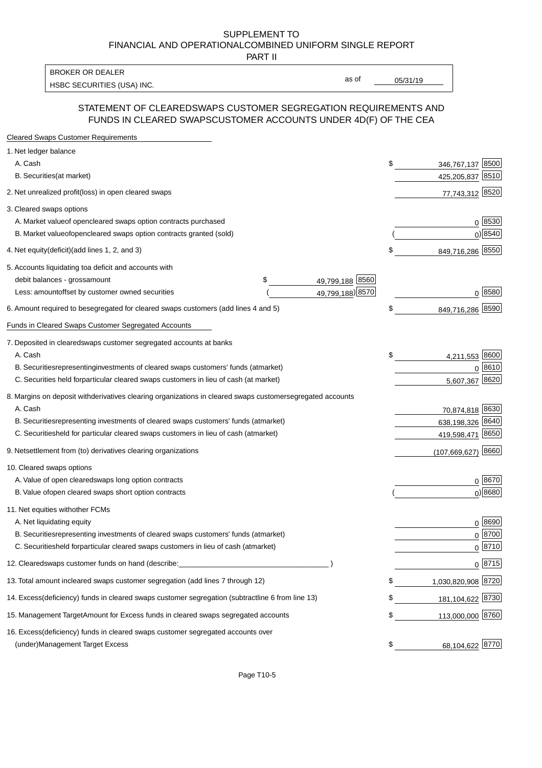PART II

HSBC SECURITIES (USA) INC. The contract of the contract of the contract of the contract of the contract of the contract of the contract of the contract of the contract of the contract of the contract of the contract of the BROKER OR DEALER

as of

#### STATEMENT OF CLEARED SWAPS CUSTOMER SEGREGATION REQUIREMENTS AND FUNDS IN CLEARED SWAPS CUSTOMER ACCOUNTS UNDER 4D(F) OF THE CEA

| <b>Cleared Swaps Customer Requirements</b>                                                                  |                           |
|-------------------------------------------------------------------------------------------------------------|---------------------------|
| 1. Net ledger balance                                                                                       |                           |
| A. Cash                                                                                                     | \$<br>8500<br>346,767,137 |
| B. Securities (at market)                                                                                   | 425,205,837 8510          |
| 2. Net unrealized profit (loss) in open cleared swaps                                                       | 77,743,312 8520           |
| 3. Cleared swaps options                                                                                    |                           |
| A. Market value of open cleared swaps option contracts purchased                                            | $0^{8530}$                |
| B. Market value of open cleared swaps option contracts granted (sold)                                       | $0)$ 8540                 |
| 4. Net equity (deficit) (add lines 1, 2, and 3)                                                             | \$<br>849,716,286 8550    |
| 5. Accounts liquidating to a deficit and accounts with                                                      |                           |
| 49,799,188 8560<br>debit balances - gross<br>\$<br>amount                                                   |                           |
| 49,799,188) 8570<br>Less: amount offset by customer owned securities                                        | $0^{8580}$                |
| 6. Amount required to be segregated for cleared swaps customers (add lines 4 and 5)                         | \$<br>849,716,286 8590    |
| <b>Funds in Cleared Swaps Customer Segregated Accounts</b>                                                  |                           |
| 7. Deposited in cleared swaps customer segregated accounts at banks                                         |                           |
| A. Cash                                                                                                     | \$<br>8600<br>4,211,553   |
| B. Securities representing investments of cleared swaps customers' funds (at market)                        | 8610<br>$\Omega$          |
| C. Securities held for particular cleared swaps customers in lieu of cash (at market)                       | 8620<br>5,607,367         |
| 8. Margins on deposit with derivatives clearing organizations in cleared swaps customer segregated accounts |                           |
| A. Cash                                                                                                     | 70,874,818 8630           |
| representing investments of cleared swaps customers' funds (at market)<br><b>B.</b> Securities              | 8640<br>638,198,326       |
| held for particular cleared swaps customers in lieu of cash (at market)<br>C. Securities                    | 8650<br>419,598,471       |
| 9. Net settlement from (to) derivatives clearing organizations                                              | 8660<br>(107, 669, 627)   |
| 10. Cleared swaps options                                                                                   |                           |
| A. Value of open cleared swaps long option contracts                                                        | $0^{8670}$                |
| B. Value of open cleared swaps short option contracts                                                       | $0)$ 8680                 |
| 11. Net equities with other FCMs                                                                            |                           |
| A. Net liquidating equity                                                                                   | $0^{8690}$                |
| B. Securities representing investments of cleared swaps customers' funds (at market)                        | $0^{8700}$                |
| C. Securities held for particular cleared swaps customers in lieu of cash (at market)                       | 0 8710                    |
| 12. Cleared swaps customer funds on hand (describe:                                                         | $0 \;  8715 $             |
| 13. Total amount in cleared swaps customer segregation (add lines 7 through 12)                             | \$<br>1,030,820,908 8720  |
| 14. Excess (deficiency) funds in cleared swaps customer segregation (subtract line 6 from line 13)          | 181,104,622 8730          |
| 15. Management Target Amount for Excess funds in cleared swaps segregated accounts                          | \$<br>113,000,000 8760    |
| 16. Excess<br>(deficiency) funds in cleared swaps customer segregated accounts over                         |                           |
| <b>Management Target Excess</b><br>(under)                                                                  | \$<br>68,104,622 8770     |